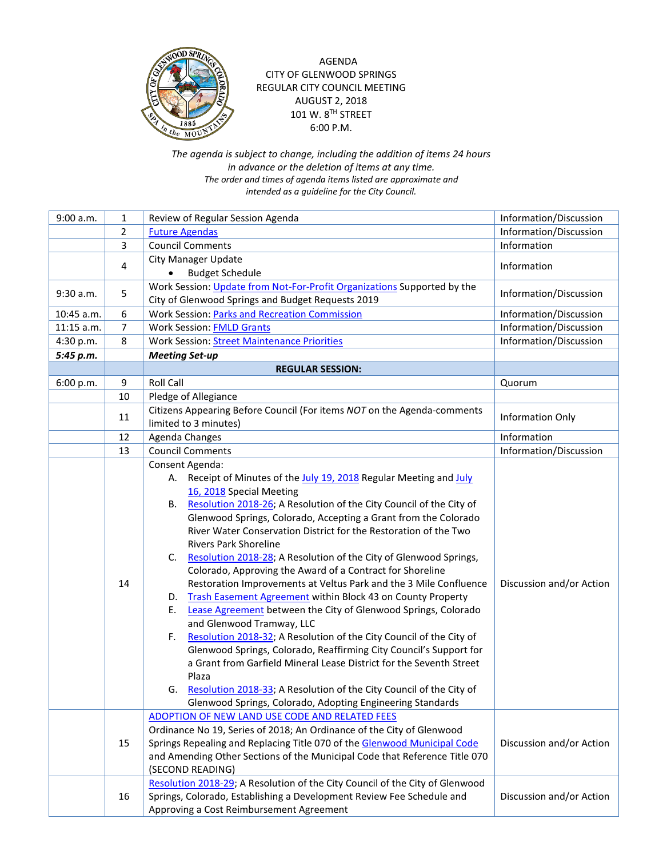

## AGENDA CITY OF GLENWOOD SPRINGS REGULAR CITY COUNCIL MEETING AUGUST 2, 2018 101 W. 8<sup>TH</sup> STREET 6:00 P.M.

## *The agenda is subject to change, including the addition of items 24 hours in advance or the deletion of items at any time. The order and times of agenda items listed are approximate and intended as a guideline for the City Council.*

| 9:00 a.m.    | 1              | Review of Regular Session Agenda                                                                                                                                                                                                                                                                                                                                                                                                                                                                                                                                                                                                                                                                                                                                                                                                                                                                                                                                                                                                                                                                                                         | Information/Discussion   |
|--------------|----------------|------------------------------------------------------------------------------------------------------------------------------------------------------------------------------------------------------------------------------------------------------------------------------------------------------------------------------------------------------------------------------------------------------------------------------------------------------------------------------------------------------------------------------------------------------------------------------------------------------------------------------------------------------------------------------------------------------------------------------------------------------------------------------------------------------------------------------------------------------------------------------------------------------------------------------------------------------------------------------------------------------------------------------------------------------------------------------------------------------------------------------------------|--------------------------|
|              | $\overline{2}$ | <b>Future Agendas</b>                                                                                                                                                                                                                                                                                                                                                                                                                                                                                                                                                                                                                                                                                                                                                                                                                                                                                                                                                                                                                                                                                                                    | Information/Discussion   |
|              | 3              | <b>Council Comments</b>                                                                                                                                                                                                                                                                                                                                                                                                                                                                                                                                                                                                                                                                                                                                                                                                                                                                                                                                                                                                                                                                                                                  | Information              |
|              | 4              | <b>City Manager Update</b>                                                                                                                                                                                                                                                                                                                                                                                                                                                                                                                                                                                                                                                                                                                                                                                                                                                                                                                                                                                                                                                                                                               | Information              |
|              |                | <b>Budget Schedule</b>                                                                                                                                                                                                                                                                                                                                                                                                                                                                                                                                                                                                                                                                                                                                                                                                                                                                                                                                                                                                                                                                                                                   |                          |
| 9:30 a.m.    | 5              | Work Session: Update from Not-For-Profit Organizations Supported by the                                                                                                                                                                                                                                                                                                                                                                                                                                                                                                                                                                                                                                                                                                                                                                                                                                                                                                                                                                                                                                                                  | Information/Discussion   |
|              |                | City of Glenwood Springs and Budget Requests 2019                                                                                                                                                                                                                                                                                                                                                                                                                                                                                                                                                                                                                                                                                                                                                                                                                                                                                                                                                                                                                                                                                        |                          |
| 10:45 a.m.   | 6              | <b>Work Session: Parks and Recreation Commission</b>                                                                                                                                                                                                                                                                                                                                                                                                                                                                                                                                                                                                                                                                                                                                                                                                                                                                                                                                                                                                                                                                                     | Information/Discussion   |
| $11:15$ a.m. | $\overline{7}$ | <b>Work Session: FMLD Grants</b>                                                                                                                                                                                                                                                                                                                                                                                                                                                                                                                                                                                                                                                                                                                                                                                                                                                                                                                                                                                                                                                                                                         | Information/Discussion   |
| 4:30 p.m.    | 8              | <b>Work Session: Street Maintenance Priorities</b>                                                                                                                                                                                                                                                                                                                                                                                                                                                                                                                                                                                                                                                                                                                                                                                                                                                                                                                                                                                                                                                                                       | Information/Discussion   |
| 5:45 p.m.    |                | <b>Meeting Set-up</b>                                                                                                                                                                                                                                                                                                                                                                                                                                                                                                                                                                                                                                                                                                                                                                                                                                                                                                                                                                                                                                                                                                                    |                          |
|              |                | <b>REGULAR SESSION:</b>                                                                                                                                                                                                                                                                                                                                                                                                                                                                                                                                                                                                                                                                                                                                                                                                                                                                                                                                                                                                                                                                                                                  |                          |
| 6:00 p.m.    | 9              | <b>Roll Call</b>                                                                                                                                                                                                                                                                                                                                                                                                                                                                                                                                                                                                                                                                                                                                                                                                                                                                                                                                                                                                                                                                                                                         | Quorum                   |
|              | $10\,$         | Pledge of Allegiance                                                                                                                                                                                                                                                                                                                                                                                                                                                                                                                                                                                                                                                                                                                                                                                                                                                                                                                                                                                                                                                                                                                     |                          |
|              |                | Citizens Appearing Before Council (For items NOT on the Agenda-comments                                                                                                                                                                                                                                                                                                                                                                                                                                                                                                                                                                                                                                                                                                                                                                                                                                                                                                                                                                                                                                                                  |                          |
|              | 11             | limited to 3 minutes)                                                                                                                                                                                                                                                                                                                                                                                                                                                                                                                                                                                                                                                                                                                                                                                                                                                                                                                                                                                                                                                                                                                    | Information Only         |
|              | 12             | Agenda Changes                                                                                                                                                                                                                                                                                                                                                                                                                                                                                                                                                                                                                                                                                                                                                                                                                                                                                                                                                                                                                                                                                                                           | Information              |
|              | 13             | <b>Council Comments</b>                                                                                                                                                                                                                                                                                                                                                                                                                                                                                                                                                                                                                                                                                                                                                                                                                                                                                                                                                                                                                                                                                                                  | Information/Discussion   |
|              | 14             | Consent Agenda:<br>A. Receipt of Minutes of the July 19, 2018 Regular Meeting and July<br>16, 2018 Special Meeting<br>Resolution 2018-26; A Resolution of the City Council of the City of<br>В.<br>Glenwood Springs, Colorado, Accepting a Grant from the Colorado<br>River Water Conservation District for the Restoration of the Two<br><b>Rivers Park Shoreline</b><br>Resolution 2018-28; A Resolution of the City of Glenwood Springs,<br>C.<br>Colorado, Approving the Award of a Contract for Shoreline<br>Restoration Improvements at Veltus Park and the 3 Mile Confluence<br>Trash Easement Agreement within Block 43 on County Property<br>D.<br>Lease Agreement between the City of Glenwood Springs, Colorado<br>Е.<br>and Glenwood Tramway, LLC<br>Resolution 2018-32; A Resolution of the City Council of the City of<br>F.<br>Glenwood Springs, Colorado, Reaffirming City Council's Support for<br>a Grant from Garfield Mineral Lease District for the Seventh Street<br>Plaza<br>G. Resolution 2018-33; A Resolution of the City Council of the City of<br>Glenwood Springs, Colorado, Adopting Engineering Standards | Discussion and/or Action |
|              | 15             | ADOPTION OF NEW LAND USE CODE AND RELATED FEES<br>Ordinance No 19, Series of 2018; An Ordinance of the City of Glenwood<br>Springs Repealing and Replacing Title 070 of the Glenwood Municipal Code<br>and Amending Other Sections of the Municipal Code that Reference Title 070<br>(SECOND READING)                                                                                                                                                                                                                                                                                                                                                                                                                                                                                                                                                                                                                                                                                                                                                                                                                                    | Discussion and/or Action |
|              | 16             | Resolution 2018-29; A Resolution of the City Council of the City of Glenwood<br>Springs, Colorado, Establishing a Development Review Fee Schedule and<br>Approving a Cost Reimbursement Agreement                                                                                                                                                                                                                                                                                                                                                                                                                                                                                                                                                                                                                                                                                                                                                                                                                                                                                                                                        | Discussion and/or Action |